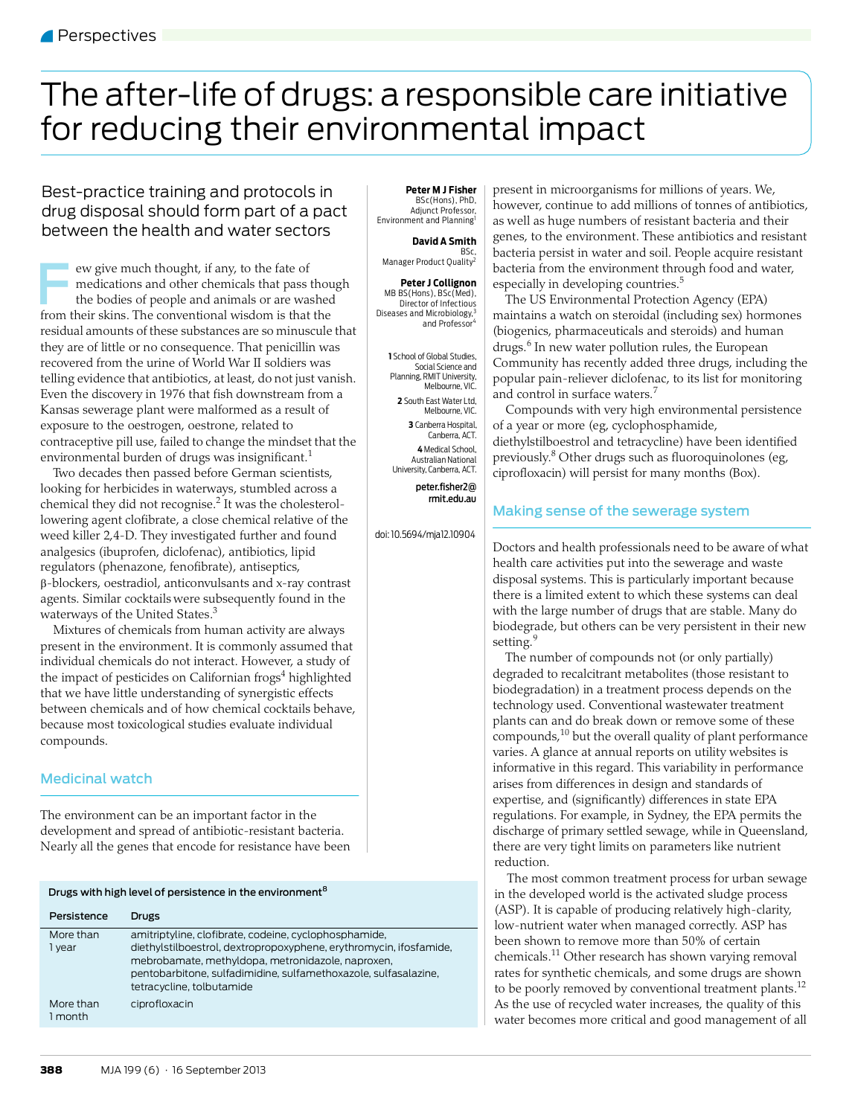# <span id="page-0-0"></span>The after-life of drugs: a responsible care initiative for reducing their environmental impact

### Best-practice training and protocols in drug disposal should form part of a pact between the health and water sectors

ew give much thought, if any, to the fate of medications and other chemicals that pass though the bodies of people and animals or are washed From their skins. The conventional wisdom is that the bodies of people and animals or are washed from their skins. The conventional wisdom is that the residual amounts of these substances are so minuscule that they are of little or no consequence. That penicillin was recovered from the urine of World War II soldiers was telling evidence that antibiotics, at least, do not just vanish. Even the discovery in 1976 that fish downstream from a Kansas sewerage plant were malformed as a result of exposure to the oestrogen, oestrone, related to contraceptive pill use, failed to change the mindset that the environmental burden of drugs was insignificant.<sup>[1](#page-2-0)</sup>

Two decades then passed before German scientists, looking for herbicides in waterways, stumbled across a chemical they did not recognise. $2$  It was the cholesterollowering agent clofibrate, a close chemical relative of the weed killer 2,4-D. They investigated further and found analgesics (ibuprofen, diclofenac), antibiotics, lipid regulators (phenazone, fenofibrate), antiseptics, -blockers, oestradiol, anticonvulsants and x-ray contrast agents. Similar cocktails were subsequently found in the waterways of the United States.<sup>[3](#page-2-2)</sup>

that we have little understanding of synergistic effects between chemicals and of how chemical [cock](#page-2-12)tails behave,<br>. because most toxicological studies evaluate individual compounds. Mixtures of chemicals from human activity are always present in the environment. It is commonly assumed that individual chemicals do not interact. However, a study of the impact of pesticides on Californian frogs<sup>4</sup> highlighted

#### Medicinal watch

The environment can be an important factor in the development and spread of antibiotic-resistant bacteria. Nearly all the genes that encode for resistance have been

| Drugs with high level of persistence in the environment <sup>8</sup> |                                                                                                                                                                                                                                                                                  |
|----------------------------------------------------------------------|----------------------------------------------------------------------------------------------------------------------------------------------------------------------------------------------------------------------------------------------------------------------------------|
| Persistence                                                          | Drugs                                                                                                                                                                                                                                                                            |
| More than<br>1 vear                                                  | amitriptyline, clofibrate, codeine, cyclophosphamide,<br>diethylstilboestrol, dextropropoxyphene, erythromycin, ifosfamide,<br>mebrobamate, methyldopa, metronidazole, naproxen,<br>pentobarbitone, sulfadimidine, sulfamethoxazole, sulfasalazine,<br>tetracycline, tolbutamide |
| More than<br>l month                                                 | ciprofloxacin                                                                                                                                                                                                                                                                    |

**Peter M J Fisher** BSc(Hons), PhD, Adjunct Professor, Environment and Planning

#### **David A Smith**

,BSc<br>Manager Product Quality<sup>2</sup>

**Peter J Collignon** MB BS(Hons), BSc(Med), Director of Infectious Diseases and Microbiology,<sup>3</sup><br>"and Professor

**1** School of Global Studies, Social Science and Planning, RMIT University, Melbourne, VIC. **2** South East Water Ltd, Melbourne, VIC. **3** Canberra Hospital, Canberra, ACT. **4** Medical School, Australian National University, Canberra, ACT. peter.fisher2@ rmit.edu.au

doi: 10.5694/mja12.10904

present in microorganisms for millions of years. We, however, continue to add millions of tonnes of antibiotics, as well as huge numbers of resistant bacteria and their genes, to the environment. These antibiotics and resistant bacteria persist in water and soil. People acquire resistant bacteria from the environment through food and water, especially in developing countries.<sup>[5](#page-2-4)</sup>

The US Environmental Protection Agency (EPA) maintains a watch on steroidal (including sex) hormones (biogenics, pharmaceuticals and steroids) and human drugs.<sup>[6](#page-2-5)</sup> In new water pollution rules, the European Community has recently added three drugs, including the popular pain-reliever diclofenac, to its list for monitoring and control in surface waters.[7](#page-2-6)

Compounds with very high environmental persistence of a year or more (eg, cyclophosphamide, diethylstilboestrol and tetracycline) have been identified previously.<sup>8</sup> Other drugs such as fluoroquinolones (eg, ciprofloxacin) will persist for many months (Box).

#### Making sense of the sewerage system

Doctors and health professionals need to be aware of what health care activities put into the sewerage and waste disposal systems. This is particularly important because there is a limited extent to which these systems can deal with the large number of drugs that are stable. Many do biodegrade, but others can be very persistent in their new setting.<sup>[9](#page-2-8)</sup>

The number of compounds not (or only partially) degraded to recalcitrant metabolites (those resistant to biodegradation) in a treatment process depends on the technology used. Conventional wastewater treatment plants can and do break down or remove some of these compounds, $10$  but the overall quality of plant performance varies. A glance at annual reports on utility websites is informative in this regard. This variability in performance arises from differences in design and standards of expertise, and (significantly) differences in state EPA regulations. For example, in Sydney, the EPA permits the discharge of primary settled sewage, while in Queensland, there are very tight limits on parameters like nutrient reduction.

The most common treatment process for urban sewage in the developed world is the activated sludge process (ASP). It is capable of producing relatively high-clarity, low-nutrient water when managed correctly. ASP has been shown to remove more than 50% of certain chemicals[.11](#page-2-10) Other research has shown varying removal rates for synthetic chemicals, and some drugs are shown to be poorly removed by conventional treatment plants.<sup>12</sup> As the use of recycled water increases, the quality of this water becomes more critical and good management of all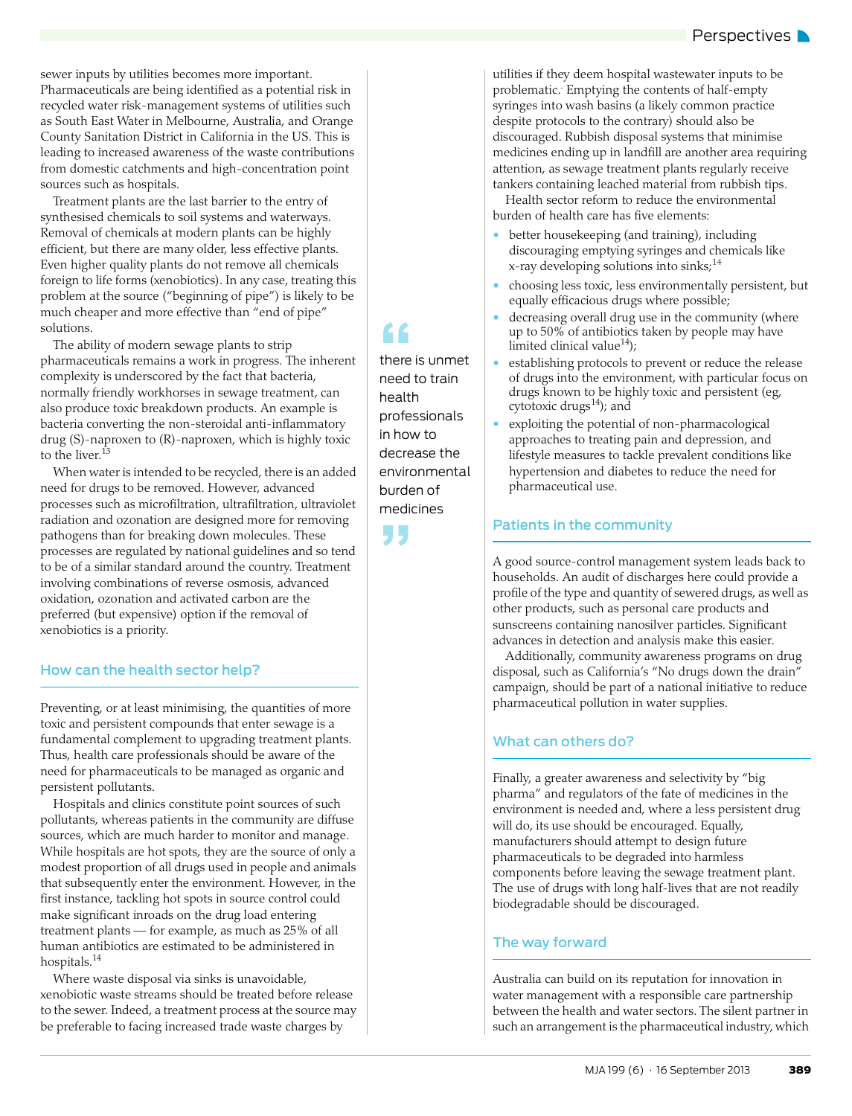sewer inputs by utilities becomes more important.

Pharmaceuticals are being identified as a potential risk in recycled water risk-management systems of utilities such as South East Water in Melbourne, Australia, and Orange County Sanitation District in California in the US. This is leading to increased awareness of the waste contributions from domestic catchments and high-concentration point sources such as hospitals.

Treatment plants are the last barrier to the entry of synthesised chemicals to soil systems and waterways. Removal of chemicals at modern plants can be highly efficient, but there are many older, less effective plants. Even higher quality plants do not remove all chemicals foreign to life forms (xenobiotics). In any case, treating this problem at the source ("beginning of pipe") is likely to be much cheaper and more effective than "end of pipe" solutions.

The ability of modern sewage plants to strip pharmaceuticals remains a work in progress. The inherent complexity is underscored by the fact that bacteria, normally friendly workhorses in sewage treatment, can also produce toxic breakdown products. An example is bacteria converting the non-steroidal anti-inflammatory drug (S)-naproxen to (R)-naproxen, which is highly toxic to the liver.<sup>1</sup>

When water is intended to be recycled, there is an added need for drugs to be removed. However, advanced processes such as microfiltration, ultrafiltration, ultraviolet radiation and ozonation are designed more for removing pathogens than for breaking down molecules. These processes are regulated by national guidelines and so tend to be of a similar standard around the country. Treatment involving combinations of reverse osmosis, advanced oxidation, ozonation and activated carbon are the preferred (but expensive) option if the removal of xenobiotics is a priority.

#### How can the health sector help?

Preventing, or at least minimising, the quantities of more toxic and persistent compounds that enter sewage is a fundamental complement to upgrading treatment plants. Thus, health care professionals should be aware of the need for pharmaceuticals to be managed as organic and persistent pollutants.

Hospitals and clinics constitute point sources of such pollutants, whereas patients in the community are diffuse sources, which are much harder to monitor and manage. While hospitals are hot spots, they are the source of only a modest proportion of all drugs used in people and animals that subsequently enter the environment. However, in the first instance, tackling hot spots in source control could make significant inroads on the drug load entering treatment plants — for example, as much as 25% of all human antibiotics are estimated to be administered in hospitals.[14](#page-2-12)

Where waste disposal via sinks is unavoidable, xenobiotic waste streams should be treated before release to the sewer. Indeed, a treatment process at the source may be preferable to facing increased trade waste charges by

ff<br>there<br>need there is unmet need to train health professionals in how to decrease the environmental burden of medicines

**"** 

utilities if they deem hospital wastewater inputs to be problematic. Emptying the contents of half-empty syringes into wash basins (a likely common practice despite protocols to the contrary) should also be discouraged. Rubbish disposal systems that minimise medicines ending up in landfill are another area requiring attention, as sewage treatment plants regularly receive tankers containing leached material from rubbish tips.

Health sector reform to reduce the environmental burden of health care has five elements:

- better housekeeping (and training), including discouraging emptying syringes and chemicals like x-ray developing solutions into sinks; $^{14}$  $^{14}$  $^{14}$
- choosing less toxic, less environmentally persistent, but equally efficacious drugs where possible;
- decreasing overall drug use in the community (where up to 50% of antibiotics taken by people may have limited clinical value<sup>14</sup>);
- establishing protocols to prevent or reduce the release of drugs into the environment, with particular focus on drugs known to be highly toxic and persistent (eg, cytotoxic drugs $^{14}$  $^{14}$  $^{14}$ ); and
- exploiting the potential of non-pharmacological approaches to treating pain and depression, and lifestyle measures to tackle prevalent conditions like hypertension and diabetes to reduce the need for pharmaceutical use.

#### Patients in the community

A good source-control management system leads back to households. An audit of discharges here could provide a profile of the type and quantity of sewered drugs, as well as other products, such as personal care products and sunscreens containing nanosilver particles. Significant advances in detection and analysis make this easier.

Additionally, community awareness programs on drug disposal, such as California's "No drugs down the drain" campaign, should be part of a national initiative to reduce pharmaceutical pollution in water supplies.

#### What can others do?

Finally, a greater awareness and selectivity by "big pharma" and regulators of the fate of medicines in the environment is needed and, where a less persistent drug will do, its use should be encouraged. Equally, manufacturers should attempt to design future pharmaceuticals to be degraded into harmless components before leaving the sewage treatment plant. The use of drugs with long half-lives that are not readily biodegradable should be discouraged.

#### The way forward

Australia can build on its reputation for innovation in water management with a responsible care partnership between the health and water sectors. The silent partner in such an arrangement is the pharmaceutical industry, which